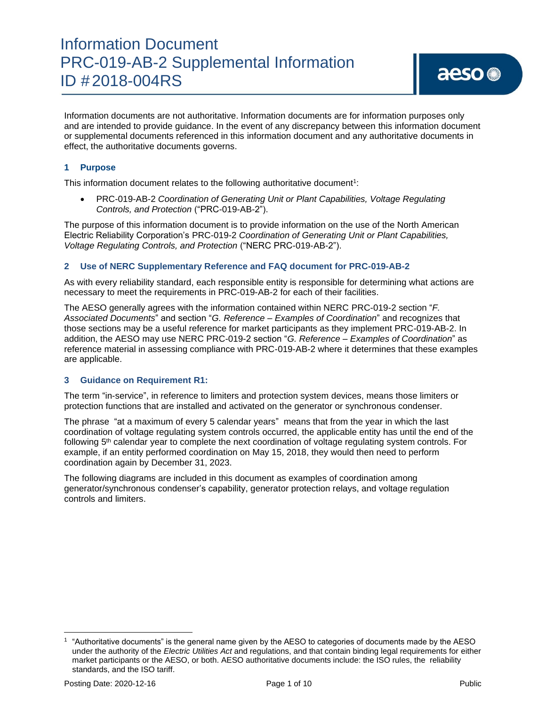Information documents are not authoritative. Information documents are for information purposes only and are intended to provide guidance. In the event of any discrepancy between this information document or supplemental documents referenced in this information document and any authoritative documents in effect, the authoritative documents governs.

#### **1 Purpose**

This information document relates to the following authoritative document<sup>1</sup>:

• PRC-019-AB-2 *Coordination of Generating Unit or Plant Capabilities, Voltage Regulating Controls, and Protection* ("PRC-019-AB-2").

The purpose of this information document is to provide information on the use of the North American Electric Reliability Corporation's PRC-019-2 *Coordination of Generating Unit or Plant Capabilities, Voltage Regulating Controls, and Protection* ("NERC PRC-019-AB-2").

#### **2 Use of NERC Supplementary Reference and FAQ document for PRC-019-AB-2**

As with every reliability standard, each responsible entity is responsible for determining what actions are necessary to meet the requirements in PRC-019-AB-2 for each of their facilities.

The AESO generally agrees with the information contained within NERC PRC-019-2 section "*F. Associated Documents*" and section "*G. Reference – Examples of Coordination*" and recognizes that those sections may be a useful reference for market participants as they implement PRC-019-AB-2. In addition, the AESO may use NERC PRC-019-2 section "*G. Reference – Examples of Coordination*" as reference material in assessing compliance with PRC-019-AB-2 where it determines that these examples are applicable.

#### **3 Guidance on Requirement R1:**

The term "in-service", in reference to limiters and protection system devices, means those limiters or protection functions that are installed and activated on the generator or synchronous condenser.

The phrase "at a maximum of every 5 calendar years" means that from the year in which the last coordination of voltage regulating system controls occurred, the applicable entity has until the end of the following 5<sup>th</sup> calendar year to complete the next coordination of voltage regulating system controls. For example, if an entity performed coordination on May 15, 2018, they would then need to perform coordination again by December 31, 2023.

The following diagrams are included in this document as examples of coordination among generator/synchronous condenser's capability, generator protection relays, and voltage regulation controls and limiters.

<sup>1</sup> "Authoritative documents" is the general name given by the AESO to categories of documents made by the AESO under the authority of the *Electric Utilities Act* and regulations, and that contain binding legal requirements for either market participants or the AESO, or both. AESO authoritative documents include: the ISO rules, the reliability standards, and the ISO tariff.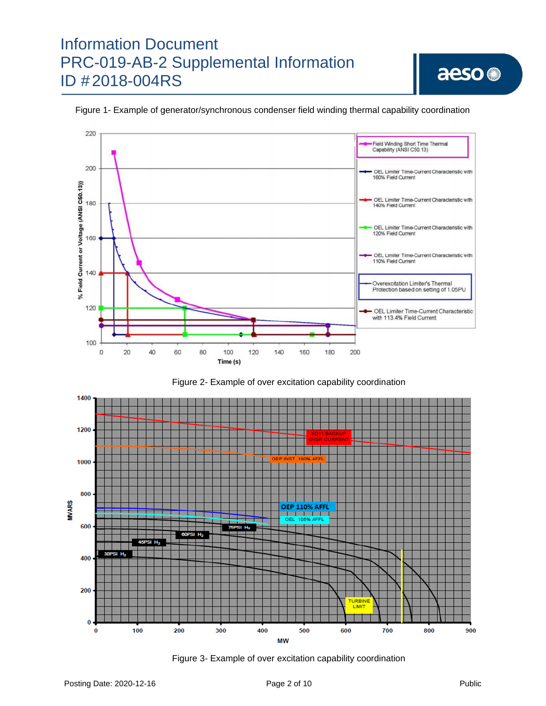

Figure 1- Example of generator/synchronous condenser field winding thermal capability coordination





Figure 3- Example of over excitation capability coordination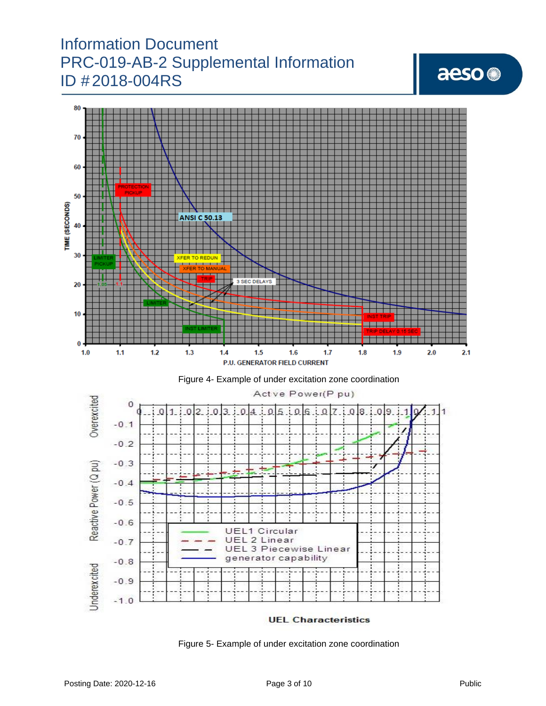# aeso<sup>®</sup>



Figure 5- Example of under excitation zone coordination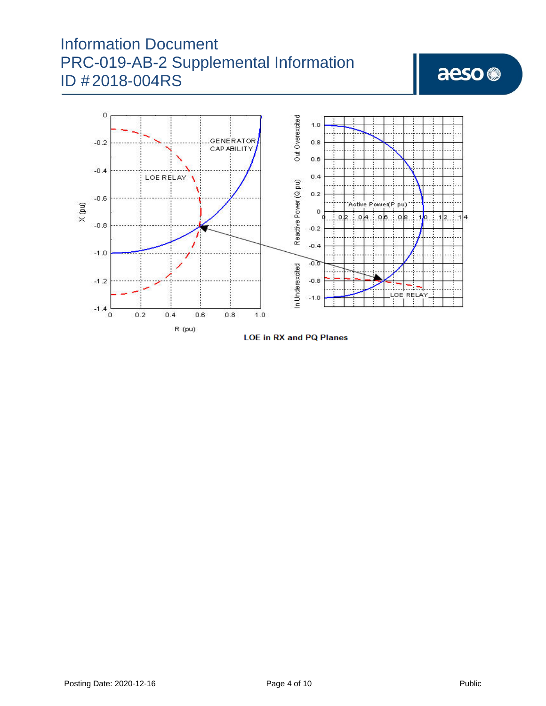# aeso<sup>@</sup>



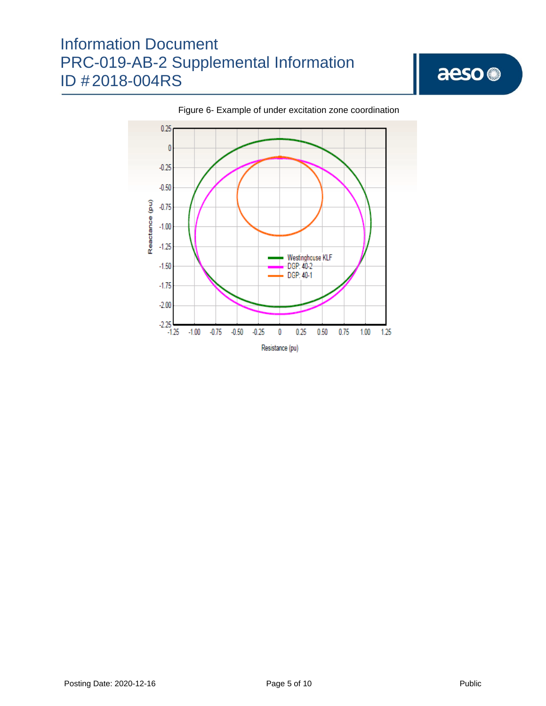

#### Figure 6- Example of under excitation zone coordination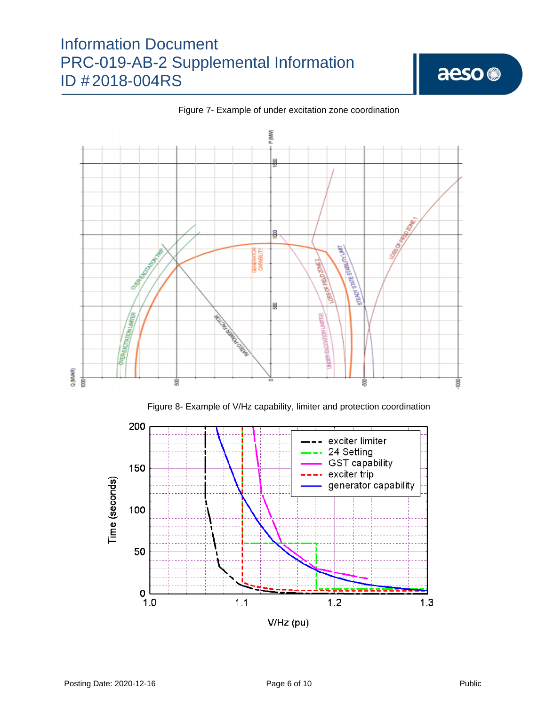

Figure 7- Example of under excitation zone coordination



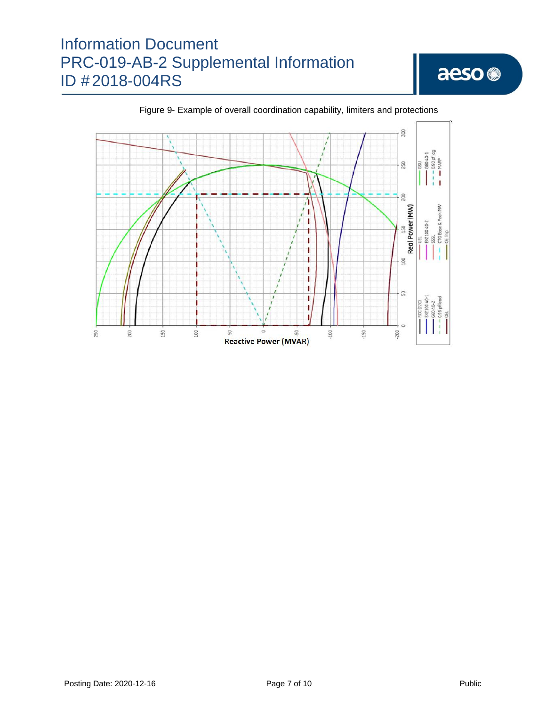



Figure 9- Example of overall coordination capability, limiters and protections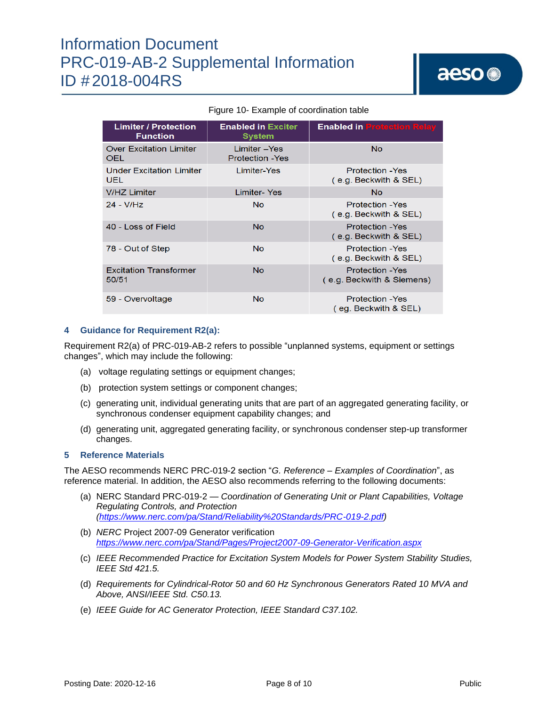| <b>Limiter / Protection</b><br><b>Function</b> | <b>Enabled in Exciter</b><br><b>System</b> | <b>Enabled in Protection Relay</b>                   |
|------------------------------------------------|--------------------------------------------|------------------------------------------------------|
| <b>Over Excitation Limiter</b><br>OEL          | Limiter - Yes<br><b>Protection - Yes</b>   | <b>No</b>                                            |
| <b>Under Excitation Limiter</b><br>UEL.        | Limiter-Yes                                | <b>Protection - Yes</b><br>(e.g. Beckwith & SEL)     |
| <b>V/HZ Limiter</b>                            | Limiter-Yes                                | <b>No</b>                                            |
| 24 - V/Hz                                      | No.                                        | <b>Protection - Yes</b><br>(e.g. Beckwith & SEL)     |
| 40 - Loss of Field                             | N <sub>o</sub>                             | <b>Protection - Yes</b><br>(e.g. Beckwith & SEL)     |
| 78 - Out of Step                               | <b>No</b>                                  | <b>Protection - Yes</b><br>(e.g. Beckwith & SEL)     |
| <b>Excitation Transformer</b><br>50/51         | N <sub>o</sub>                             | <b>Protection - Yes</b><br>(e.g. Beckwith & Siemens) |
| 59 - Overvoltage                               | <b>No</b>                                  | <b>Protection - Yes</b><br>(eg. Beckwith & SEL)      |

#### Figure 10- Example of coordination table

#### **4 Guidance for Requirement R2(a):**

Requirement R2(a) of PRC-019-AB-2 refers to possible "unplanned systems, equipment or settings changes", which may include the following:

- (a) voltage regulating settings or equipment changes;
- (b) protection system settings or component changes;
- (c) generating unit, individual generating units that are part of an aggregated generating facility, or synchronous condenser equipment capability changes; and
- (d) generating unit, aggregated generating facility, or synchronous condenser step-up transformer changes.

#### **5 Reference Materials**

The AESO recommends NERC PRC-019-2 section "*G. Reference – Examples of Coordination*", as reference material. In addition, the AESO also recommends referring to the following documents:

- (a) NERC Standard PRC-019-2 *— Coordination of Generating Unit or Plant Capabilities, Voltage Regulating Controls, and Protection [\(https://www.nerc.com/pa/Stand/Reliability%20Standards/PRC-019-2.pdf\)](https://www.nerc.com/pa/Stand/Reliability%20Standards/PRC-019-2.pdf)*
- (b) *NERC* Project 2007-09 Generator verification *<https://www.nerc.com/pa/Stand/Pages/Project2007-09-Generator-Verification.aspx>*
- (c) *IEEE Recommended Practice for Excitation System Models for Power System Stability Studies, IEEE Std 421.5.*
- (d) *Requirements for Cylindrical-Rotor 50 and 60 Hz Synchronous Generators Rated 10 MVA and Above, ANSI/IEEE Std. C50.13.*
- (e) *IEEE Guide for AC Generator Protection, IEEE Standard C37.102.*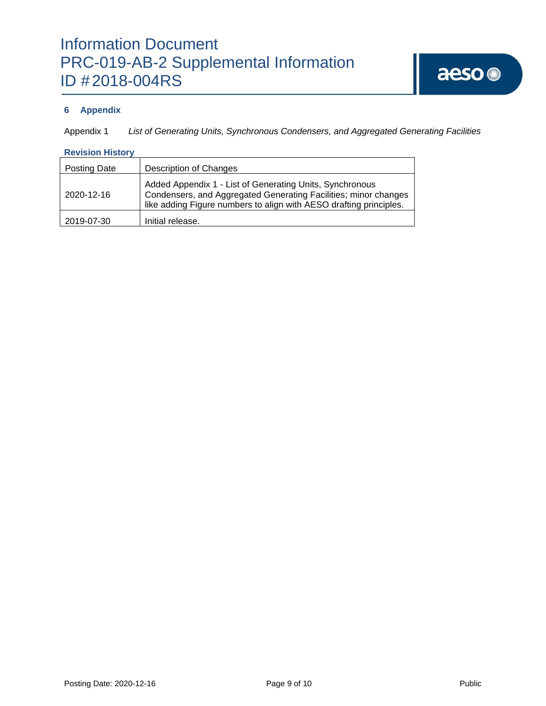### **6 Appendix**

Appendix 1 *List of Generating Units, Synchronous Condensers, and Aggregated Generating Facilities*

#### **Revision History**

| Posting Date | <b>Description of Changes</b>                                                                                                                                                                     |
|--------------|---------------------------------------------------------------------------------------------------------------------------------------------------------------------------------------------------|
| 2020-12-16   | Added Appendix 1 - List of Generating Units, Synchronous<br>Condensers, and Aggregated Generating Facilities; minor changes<br>like adding Figure numbers to align with AESO drafting principles. |
| 2019-07-30   | Initial release.                                                                                                                                                                                  |